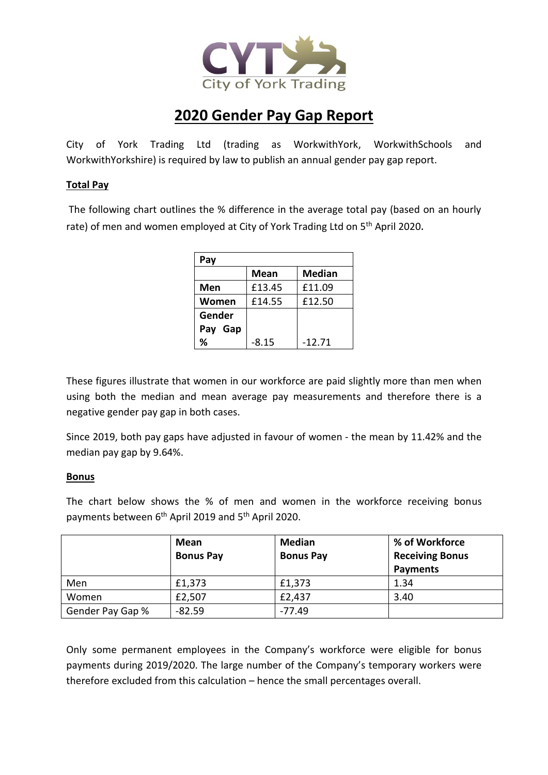

# **2020 Gender Pay Gap Report**

City of York Trading Ltd (trading as WorkwithYork, WorkwithSchools and WorkwithYorkshire) is required by law to publish an annual gender pay gap report.

## **Total Pay**

The following chart outlines the % difference in the average total pay (based on an hourly rate) of men and women employed at City of York Trading Ltd on 5<sup>th</sup> April 2020.

| Pay     |             |               |  |  |
|---------|-------------|---------------|--|--|
|         | <b>Mean</b> | <b>Median</b> |  |  |
| Men     | £13.45      | £11.09        |  |  |
| Women   | £14.55      | £12.50        |  |  |
| Gender  |             |               |  |  |
| Pay Gap |             |               |  |  |
| %       | $-8.15$     | $-12.71$      |  |  |

These figures illustrate that women in our workforce are paid slightly more than men when using both the median and mean average pay measurements and therefore there is a negative gender pay gap in both cases.

Since 2019, both pay gaps have adjusted in favour of women - the mean by 11.42% and the median pay gap by 9.64%.

### **Bonus**

The chart below shows the % of men and women in the workforce receiving bonus payments between 6th April 2019 and 5th April 2020.

|                  | Mean             | <b>Median</b>    | % of Workforce         |
|------------------|------------------|------------------|------------------------|
|                  | <b>Bonus Pay</b> | <b>Bonus Pay</b> | <b>Receiving Bonus</b> |
|                  |                  |                  | <b>Payments</b>        |
| Men              | £1,373           | £1,373           | 1.34                   |
| Women            | £2,507           | £2,437           | 3.40                   |
| Gender Pay Gap % | $-82.59$         | -77.49           |                        |

Only some permanent employees in the Company's workforce were eligible for bonus payments during 2019/2020. The large number of the Company's temporary workers were therefore excluded from this calculation – hence the small percentages overall.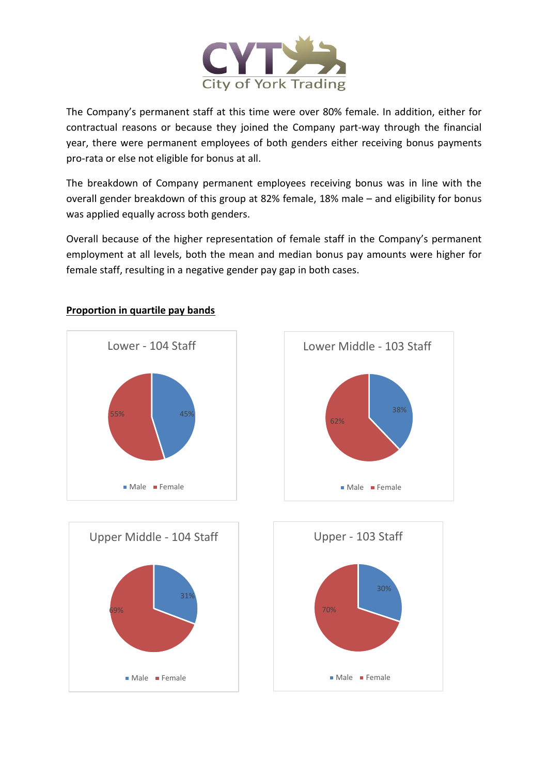

The Company's permanent staff at this time were over 80% female. In addition, either for contractual reasons or because they joined the Company part-way through the financial year, there were permanent employees of both genders either receiving bonus payments pro-rata or else not eligible for bonus at all.

The breakdown of Company permanent employees receiving bonus was in line with the overall gender breakdown of this group at 82% female, 18% male – and eligibility for bonus was applied equally across both genders.

Overall because of the higher representation of female staff in the Company's permanent employment at all levels, both the mean and median bonus pay amounts were higher for female staff, resulting in a negative gender pay gap in both cases.



#### **Proportion in quartile pay bands**